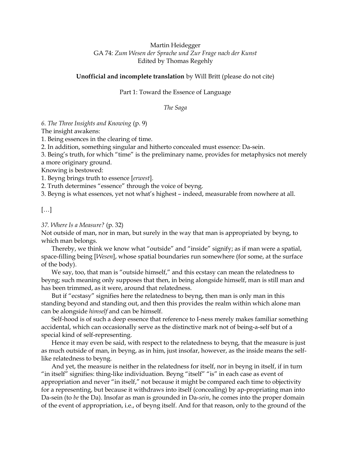## Martin Heidegger GA 74: Zum Wesen der Sprache und Zur Frage nach der Kunst Edited by Thomas Regehly

## Unofficial and incomplete translation by Will Britt (please do not cite)

Part 1: Toward the Essence of Language

The Saga

6. The Three Insights and Knowing (p. 9)

The insight awakens:

1. Being essences in the clearing of time.

2. In addition, something singular and hitherto concealed must essence: Da-sein.

3. Being's truth, for which "time" is the preliminary name, provides for metaphysics not merely a more originary ground.

Knowing is bestowed:

1. Beyng brings truth to essence [erwest].

2. Truth determines "essence" through the voice of beyng.

3. Beyng is what essences, yet not what's highest – indeed, measurable from nowhere at all.

## […]

#### 37. Where Is a Measure? (p. 32)

Not outside of man, nor in man, but surely in the way that man is appropriated by beyng, to which man belongs.

Thereby, we think we know what "outside" and "inside" signify; as if man were a spatial, space-filling being [Wesen], whose spatial boundaries run somewhere (for some, at the surface of the body).

We say, too, that man is "outside himself," and this ecstasy can mean the relatedness to beyng; such meaning only supposes that then, in being alongside himself, man is still man and has been trimmed, as it were, around that relatedness.

But if "ecstasy" signifies here the relatedness to beyng, then man is only man in this standing beyond and standing out, and then this provides the realm within which alone man can be alongside himself and can be himself.

Self-hood is of such a deep essence that reference to I-ness merely makes familiar something accidental, which can occasionally serve as the distinctive mark not of being-a-self but of a special kind of self-representing.

Hence it may even be said, with respect to the relatedness to beyng, that the measure is just as much outside of man, in beyng, as in him, just insofar, however, as the inside means the selflike relatedness to beyng.

And yet, the measure is neither in the relatedness for itself, nor in beyng in itself, if in turn "in itself" signifies: thing-like individuation. Beyng "itself" "is" in each case as event of appropriation and never "in itself," not because it might be compared each time to objectivity for a representing, but because it withdraws into itself (concealing) by ap-propriating man into Da-sein (to be the Da). Insofar as man is grounded in Da-sein, he comes into the proper domain of the event of appropriation, i.e., of beyng itself. And for that reason, only to the ground of the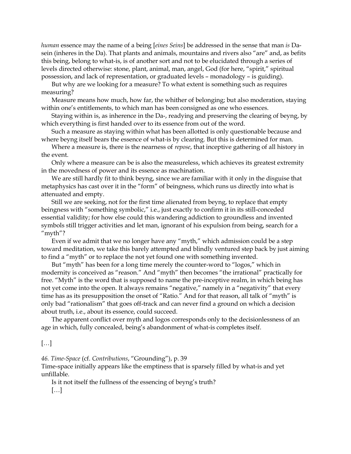human essence may the name of a being [*eines Seins*] be addressed in the sense that man is Dasein (inheres in the Da). That plants and animals, mountains and rivers also "are" and, as befits this being, belong to what-is, is of another sort and not to be elucidated through a series of levels directed otherwise: stone, plant, animal, man, angel, God (for here, "spirit," spiritual possession, and lack of representation, or graduated levels – monadology – is guiding).

But why are we looking for a measure? To what extent is something such as requires measuring?

Measure means how much, how far, the whither of belonging; but also moderation, staying within one's entitlements, to which man has been consigned as one who essences.

Staying within is, as inherence in the Da-, readying and preserving the clearing of beyng, by which everything is first handed over to its essence from out of the word.

Such a measure as staying within what has been allotted is only questionable because and where beyng itself bears the essence of what-is by clearing. But this is determined for man.

Where a measure is, there is the nearness of repose, that inceptive gathering of all history in the event.

Only where a measure can be is also the measureless, which achieves its greatest extremity in the movedness of power and its essence as machination.

We are still hardly fit to think beyng, since we are familiar with it only in the disguise that metaphysics has cast over it in the "form" of beingness, which runs us directly into what is attenuated and empty.

Still we are seeking, not for the first time alienated from beyng, to replace that empty beingness with "something symbolic," i.e., just exactly to confirm it in its still-conceded essential validity; for how else could this wandering addiction to groundless and invented symbols still trigger activities and let man, ignorant of his expulsion from being, search for a "myth"?

Even if we admit that we no longer have any "myth," which admission could be a step toward meditation, we take this barely attempted and blindly ventured step back by just aiming to find a "myth" or to replace the not yet found one with something invented.

But "myth" has been for a long time merely the counter-word to "logos," which in modernity is conceived as "reason." And "myth" then becomes "the irrational" practically for free. "Myth" is the word that is supposed to name the pre-inceptive realm, in which being has not yet come into the open. It always remains "negative," namely in a "negativity" that every time has as its presupposition the onset of "Ratio." And for that reason, all talk of "myth" is only bad "rationalism" that goes off-track and can never find a ground on which a decision about truth, i.e., about its essence, could succeed.

The apparent conflict over myth and logos corresponds only to the decisionlessness of an age in which, fully concealed, being's abandonment of what-is completes itself.

[…]

46. Time-Space (cf. Contributions, "Grounding"), p. 39

Time-space initially appears like the emptiness that is sparsely filled by what-is and yet unfillable.

Is it not itself the fullness of the essencing of beyng's truth? […]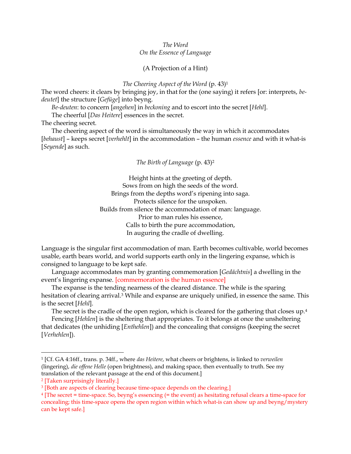### The Word On the Essence of Language

### (A Projection of a Hint)

#### The Cheering Aspect of the Word (p. 43)<sup>1</sup>

The word cheers: it clears by bringing joy, in that for the (one saying) it refers [or: interprets, bedeutet] the structure [Gefüge] into beyng.

Be-deuten: to concern [angehen] in beckoning and to escort into the secret [Hehl].

The cheerful [Das Heitere] essences in the secret.

The cheering secret.

The cheering aspect of the word is simultaneously the way in which it accommodates [behaust] - keeps secret [verhehlt] in the accommodation - the human essence and with it what-is [Seyende] as such.

#### The Birth of Language (p. 43)<sup>2</sup>

Height hints at the greeting of depth. Sows from on high the seeds of the word. Brings from the depths word's ripening into saga. Protects silence for the unspoken. Builds from silence the accommodation of man: language. Prior to man rules his essence, Calls to birth the pure accommodation, In auguring the cradle of dwelling.

Language is the singular first accommodation of man. Earth becomes cultivable, world becomes usable, earth bears world, and world supports earth only in the lingering expanse, which is consigned to language to be kept safe.

Language accommodates man by granting commemoration [Gedächtnis] a dwelling in the event's lingering expanse. [commemoration is the human essence]

The expanse is the tending nearness of the cleared distance. The while is the sparing hesitation of clearing arrival.<sup>3</sup> While and expanse are uniquely unified, in essence the same. This is the secret [Hehl].

The secret is the cradle of the open region, which is cleared for the gathering that closes up.<sup>4</sup>

Fencing [Hehlen] is the sheltering that appropriates. To it belongs at once the unsheltering that dedicates (the unhiding [Enthehlen]) and the concealing that consigns (keeping the secret [Verhehlen]).

<sup>&</sup>lt;sup>1</sup> [Cf. GA 4:16ff., trans. p. 34ff., where das Heitere, what cheers or brightens, is linked to *verweilen* (lingering), die offene Helle (open brightness), and making space, then eventually to truth. See my translation of the relevant passage at the end of this document.]

<sup>2</sup> [Taken surprisingly literally.]

<sup>&</sup>lt;sup>3</sup> [Both are aspects of clearing because time-space depends on the clearing.]

<sup>4</sup> [The secret = time-space. So, beyng's essencing (= the event) as hesitating refusal clears a time-space for concealing; this time-space opens the open region within which what-is can show up and beyng/mystery can be kept safe.]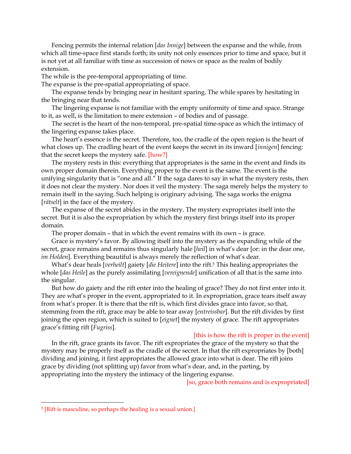Fencing permits the internal relation [*das Innige*] between the expanse and the while, from which all time-space first stands forth; its unity not only essences prior to time and space, but it is not yet at all familiar with time as succession of nows or space as the realm of bodily extension.

The while is the pre-temporal appropriating of time.

The expanse is the pre-spatial appropriating of space.

The expanse tends by bringing near in hesitant sparing. The while spares by hesitating in the bringing near that tends.

The lingering expanse is not familiar with the empty uniformity of time and space. Strange to it, as well, is the limitation to mere extension – of bodies and of passage.

The secret is the heart of the non-temporal, pre-spatial time-space as which the intimacy of the lingering expanse takes place.

The heart's essence is the secret. Therefore, too, the cradle of the open region is the heart of what closes up. The cradling heart of the event keeps the secret in its inward [innigen] fencing: that the secret keeps the mystery safe. [how?]

The mystery rests in this: everything that appropriates is the same in the event and finds its own proper domain therein. Everything proper to the event is the same. The event is the unifying singularity that is "one and all." If the saga dares to say in what the mystery rests, then it does not clear the mystery. Nor does it veil the mystery. The saga merely helps the mystery to remain itself in the saying. Such helping is originary advising. The saga works the enigma [*rätselt*] in the face of the mystery.

The expanse of the secret abides in the mystery. The mystery expropriates itself into the secret. But it is also the expropriation by which the mystery first brings itself into its proper domain.

The proper domain – that in which the event remains with its own – is grace.

Grace is mystery's favor. By allowing itself into the mystery as the expanding while of the secret, grace remains and remains thus singularly hale [heil] in what's dear [or: in the dear one, im Holden]. Everything beautiful is always merely the reflection of what's dear.

What's dear heals [verheilt] gaiety [die Heitere] into the rift.<sup>5</sup> This healing appropriates the whole [das Heile] as the purely assimilating [vereignende] unification of all that is the same into the singular.

But how do gaiety and the rift enter into the healing of grace? They do not first enter into it. They are what's proper in the event, appropriated to it. In expropriation, grace tears itself away from what's proper. It is there that the rift is, which first divides grace into favor, so that, stemming from the rift, grace may be able to tear away [entreissbar]. But the rift divides by first joining the open region, which is suited to [eignet] the mystery of grace. The rift appropriates grace's fitting rift [Fugriss].

#### [this is how the rift is proper in the event]

In the rift, grace grants its favor. The rift expropriates the grace of the mystery so that the mystery may be properly itself as the cradle of the secret. In that the rift expropriates by [both] dividing and joining, it first appropriates the allowed grace into what is dear. The rift joins grace by dividing (not splitting up) favor from what's dear, and, in the parting, by appropriating into the mystery the intimacy of the lingering expanse.

[so, grace both remains and is expropriated]

<sup>5</sup> [Rift is masculine, so perhaps the healing is a sexual union.]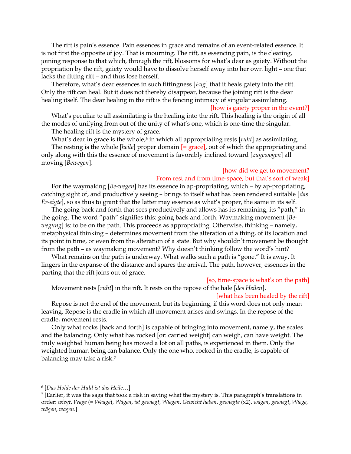The rift is pain's essence. Pain essences in grace and remains of an event-related essence. It is not first the opposite of joy. That is mourning. The rift, as essencing pain, is the clearing, joining response to that which, through the rift, blossoms for what's dear as gaiety. Without the propriation by the rift, gaiety would have to dissolve herself away into her own light – one that lacks the fitting rift – and thus lose herself.

Therefore, what's dear essences in such fittingness [Fug] that it heals gaiety into the rift. Only the rift can heal. But it does not thereby disappear, because the joining rift is the dear healing itself. The dear healing in the rift is the fencing intimacy of singular assimilating.

#### [how is gaiety proper in the event?]

What's peculiar to all assimilating is the healing into the rift. This healing is the origin of all the modes of unifying from out of the unity of what's one, which is one-time the singular.

The healing rift is the mystery of grace.

What's dear in grace is the whole, $6$  in which all appropriating rests [*ruht*] as assimilating.

The resting is the whole *[heile]* proper domain *[= grace]*, out of which the appropriating and only along with this the essence of movement is favorably inclined toward [zugewogen] all moving [Bewegen].

### [how did we get to movement?

#### From rest and from time-space, but that's sort of weak]

For the waymaking [Be-wegen] has its essence in ap-propriating, which – by ap-propriating, catching sight of, and productively seeing – brings to itself what has been rendered suitable [das Er-eigte], so as thus to grant that the latter may essence as what's proper, the same in its self.

The going back and forth that sees productively and allows has its remaining, its "path," in the going. The word "path" signifies this: going back and forth. Waymaking movement [Bewegung] is: to be on the path. This proceeds as appropriating. Otherwise, thinking - namely, metaphysical thinking – determines movement from the alteration of a thing, of its location and its point in time, or even from the alteration of a state. But why shouldn't movement be thought from the path – as waymaking movement? Why doesn't thinking follow the word's hint?

What remains on the path is underway. What walks such a path is "gone." It is away. It lingers in the expanse of the distance and spares the arrival. The path, however, essences in the parting that the rift joins out of grace.

#### [so, time-space is what's on the path]

Movement rests [ruht] in the rift. It rests on the repose of the hale [des Heilen].

#### [what has been healed by the rift]

Repose is not the end of the movement, but its beginning, if this word does not only mean leaving. Repose is the cradle in which all movement arises and swings. In the repose of the cradle, movement rests.

Only what rocks [back and forth] is capable of bringing into movement, namely, the scales and the balancing. Only what has rocked [or: carried weight] can weigh, can have weight. The truly weighted human being has moved a lot on all paths, is experienced in them. Only the weighted human being can balance. Only the one who, rocked in the cradle, is capable of balancing may take a risk.<sup>7</sup>

<sup>6</sup> [Das Holde der Huld ist das Heile…]

<sup>7</sup> [Earlier, it was the saga that took a risk in saying what the mystery is. This paragraph's translations in order: wiegt, Wage (= Waage), Wägen, ist gewiegt, Wiegen, Gewicht haben, gewiegte (x2), wägen, gewiegt, Wiege, wägen, wagen.]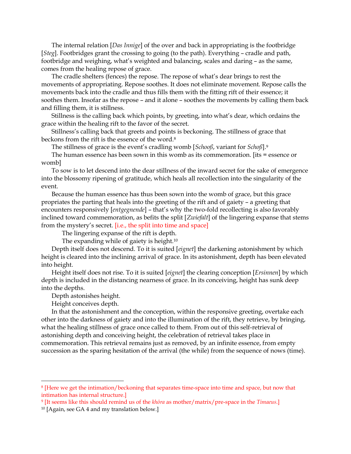The internal relation [*Das Innige*] of the over and back in appropriating is the footbridge [Steg]. Footbridges grant the crossing to going (to the path). Everything – cradle and path, footbridge and weighing, what's weighted and balancing, scales and daring – as the same, comes from the healing repose of grace.

The cradle shelters (fences) the repose. The repose of what's dear brings to rest the movements of appropriating. Repose soothes. It does not eliminate movement. Repose calls the movements back into the cradle and thus fills them with the fitting rift of their essence; it soothes them. Insofar as the repose – and it alone – soothes the movements by calling them back and filling them, it is stillness.

Stillness is the calling back which points, by greeting, into what's dear, which ordains the grace within the healing rift to the favor of the secret.

Stillness's calling back that greets and points is beckoning. The stillness of grace that beckons from the rift is the essence of the word.<sup>8</sup>

The stillness of grace is the event's cradling womb [Schooß, variant for Schoß].<sup>9</sup>

The human essence has been sown in this womb as its commemoration. [its = essence or womb]

To sow is to let descend into the dear stillness of the inward secret for the sake of emergence into the blossomy ripening of gratitude, which heals all recollection into the singularity of the event.

Because the human essence has thus been sown into the womb of grace, but this grace propriates the parting that heals into the greeting of the rift and of gaiety – a greeting that encounters responsively [entgegnende] – that's why the two-fold recollecting is also favorably inclined toward commemoration, as befits the split [Zwiefalt] of the lingering expanse that stems from the mystery's secret. [i.e., the split into time and space]

The lingering expanse of the rift is depth.

The expanding while of gaiety is height.<sup>10</sup>

Depth itself does not descend. To it is suited [eignet] the darkening astonishment by which height is cleared into the inclining arrival of grace. In its astonishment, depth has been elevated into height.

Height itself does not rise. To it is suited [*eignet*] the clearing conception [*Ersinnen*] by which depth is included in the distancing nearness of grace. In its conceiving, height has sunk deep into the depths.

Depth astonishes height.

Height conceives depth.

In that the astonishment and the conception, within the responsive greeting, overtake each other into the darkness of gaiety and into the illumination of the rift, they retrieve, by bringing, what the healing stillness of grace once called to them. From out of this self-retrieval of astonishing depth and conceiving height, the celebration of retrieval takes place in commemoration. This retrieval remains just as removed, by an infinite essence, from empty succession as the sparing hesitation of the arrival (the while) from the sequence of nows (time).

<sup>8</sup> [Here we get the intimation/beckoning that separates time-space into time and space, but now that intimation has internal structure.]

<sup>&</sup>lt;sup>9</sup> [It seems like this should remind us of the *khōra* as mother/matrix/pre-space in the Timaeus.]

<sup>10</sup> [Again, see GA 4 and my translation below.]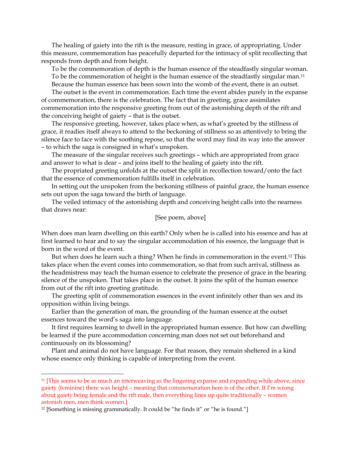The healing of gaiety into the rift is the measure, resting in grace, of appropriating. Under this measure, commemoration has peacefully departed for the intimacy of split recollecting that responds from depth and from height.

To be the commemoration of depth is the human essence of the steadfastly singular woman. To be the commemoration of height is the human essence of the steadfastly singular man.<sup>11</sup>

Because the human essence has been sown into the womb of the event, there is an outset.

The outset is the event in commemoration. Each time the event abides purely in the expanse of commemoration, there is the celebration. The fact that in greeting, grace assimilates commemoration into the responsive greeting from out of the astonishing depth of the rift and the conceiving height of gaiety – that is the outset.

The responsive greeting, however, takes place when, as what's greeted by the stillness of grace, it readies itself always to attend to the beckoning of stillness so as attentively to bring the silence face to face with the soothing repose, so that the word may find its way into the answer – to which the saga is consigned in what's unspoken.

The measure of the singular receives such greetings – which are appropriated from grace and answer to what is dear – and joins itself to the healing of gaiety into the rift.

The propriated greeting unfolds at the outset the split in recollection toward/onto the fact that the essence of commemoration fulfills itself in celebration.

In setting out the unspoken from the beckoning stillness of painful grace, the human essence sets out upon the saga toward the birth of language.

The veiled intimacy of the astonishing depth and conceiving height calls into the nearness that draws near:

## [See poem, above]

When does man learn dwelling on this earth? Only when he is called into his essence and has at first learned to hear and to say the singular accommodation of his essence, the language that is born in the word of the event.

But when does he learn such a thing? When he finds in commemoration in the event.<sup>12</sup> This takes place when the event comes into commemoration, so that from such arrival, stillness as the headmistress may teach the human essence to celebrate the presence of grace in the bearing silence of the unspoken. That takes place in the outset. It joins the split of the human essence from out of the rift into greeting gratitude.

The greeting split of commemoration essences in the event infinitely other than sex and its opposition within living beings.

Earlier than the generation of man, the grounding of the human essence at the outset essences toward the word's saga into language.

It first requires learning to dwell in the appropriated human essence. But how can dwelling be learned if the pure accommodation concerning man does not set out beforehand and continuously on its blossoming?

Plant and animal do not have language. For that reason, they remain sheltered in a kind whose essence only thinking is capable of interpreting from the event.

<sup>&</sup>lt;sup>11</sup> [This seems to be as much an interweaving as the lingering expanse and expanding while above, since gaiety (feminine) there was height – meaning that commemoration here is of the other. If I'm wrong about gaiety being female and the rift male, then everything lines up quite traditionally – women astonish men, men think women.]

<sup>12</sup> [Something is missing grammatically. It could be "he finds it" or "he is found."]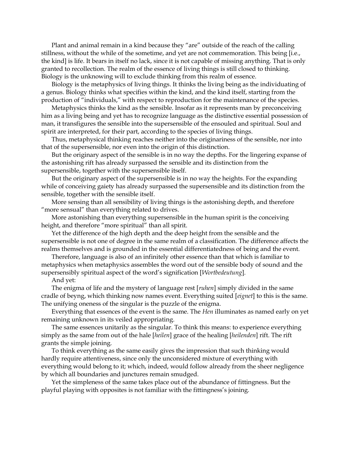Plant and animal remain in a kind because they "are" outside of the reach of the calling stillness, without the while of the sometime, and yet are not commemoration. This being [i.e., the kind] is life. It bears in itself no lack, since it is not capable of missing anything. That is only granted to recollection. The realm of the essence of living things is still closed to thinking. Biology is the unknowing will to exclude thinking from this realm of essence.

Biology is the metaphysics of living things. It thinks the living being as the individuating of a genus. Biology thinks what specifies within the kind, and the kind itself, starting from the production of "individuals," with respect to reproduction for the maintenance of the species.

Metaphysics thinks the kind as the sensible. Insofar as it represents man by preconceiving him as a living being and yet has to recognize language as the distinctive essential possession of man, it transfigures the sensible into the supersensible of the ensouled and spiritual. Soul and spirit are interpreted, for their part, according to the species of living things.

Thus, metaphysical thinking reaches neither into the originariness of the sensible, nor into that of the supersensible, nor even into the origin of this distinction.

But the originary aspect of the sensible is in no way the depths. For the lingering expanse of the astonishing rift has already surpassed the sensible and its distinction from the supersensible, together with the supersensible itself.

But the originary aspect of the supersensible is in no way the heights. For the expanding while of conceiving gaiety has already surpassed the supersensible and its distinction from the sensible, together with the sensible itself.

More sensing than all sensibility of living things is the astonishing depth, and therefore "more sensual" than everything related to drives.

More astonishing than everything supersensible in the human spirit is the conceiving height, and therefore "more spiritual" than all spirit.

Yet the difference of the high depth and the deep height from the sensible and the supersensible is not one of degree in the same realm of a classification. The difference affects the realms themselves and is grounded in the essential differentiatedness of being and the event.

Therefore, language is also of an infinitely other essence than that which is familiar to metaphysics when metaphysics assembles the word out of the sensible body of sound and the supersensibly spiritual aspect of the word's signification [Wortbedeutung].

And yet:

The enigma of life and the mystery of language rest [*ruhen*] simply divided in the same cradle of beyng, which thinking now names event. Everything suited [eignet] to this is the same. The unifying oneness of the singular is the puzzle of the enigma.

Everything that essences of the event is the same. The Hen illuminates as named early on yet remaining unknown in its veiled appropriating.

The same essences unitarily as the singular. To think this means: to experience everything simply as the same from out of the hale [heilen] grace of the healing [heilenden] rift. The rift grants the simple joining.

To think everything as the same easily gives the impression that such thinking would hardly require attentiveness, since only the unconsidered mixture of everything with everything would belong to it; which, indeed, would follow already from the sheer negligence by which all boundaries and junctures remain smudged.

Yet the simpleness of the same takes place out of the abundance of fittingness. But the playful playing with opposites is not familiar with the fittingness's joining.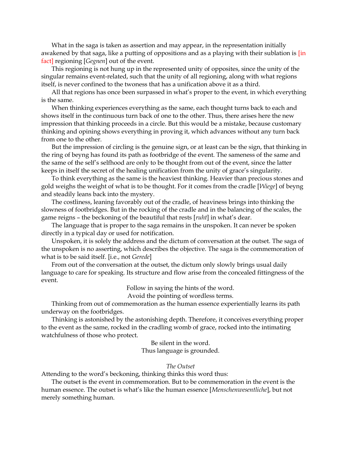What in the saga is taken as assertion and may appear, in the representation initially awakened by that saga, like a putting of oppositions and as a playing with their sublation is [in fact] regioning [Gegnen] out of the event.

This regioning is not hung up in the represented unity of opposites, since the unity of the singular remains event-related, such that the unity of all regioning, along with what regions itself, is never confined to the twoness that has a unification above it as a third.

All that regions has once been surpassed in what's proper to the event, in which everything is the same.

When thinking experiences everything as the same, each thought turns back to each and shows itself in the continuous turn back of one to the other. Thus, there arises here the new impression that thinking proceeds in a circle. But this would be a mistake, because customary thinking and opining shows everything in proving it, which advances without any turn back from one to the other.

But the impression of circling is the genuine sign, or at least can be the sign, that thinking in the ring of beyng has found its path as footbridge of the event. The sameness of the same and the same of the self's selfhood are only to be thought from out of the event, since the latter keeps in itself the secret of the healing unification from the unity of grace's singularity.

To think everything as the same is the heaviest thinking. Heavier than precious stones and gold weighs the weight of what is to be thought. For it comes from the cradle [Wiege] of beyng and steadily leans back into the mystery.

The costliness, leaning favorably out of the cradle, of heaviness brings into thinking the slowness of footbridges. But in the rocking of the cradle and in the balancing of the scales, the game reigns – the beckoning of the beautiful that rests [ruht] in what's dear.

The language that is proper to the saga remains in the unspoken. It can never be spoken directly in a typical day or used for notification.

Unspoken, it is solely the address and the dictum of conversation at the outset. The saga of the unspoken is no asserting, which describes the objective. The saga is the commemoration of what is to be said itself. [i.e., not Gerede]

From out of the conversation at the outset, the dictum only slowly brings usual daily language to care for speaking. Its structure and flow arise from the concealed fittingness of the event.

Follow in saying the hints of the word.

Avoid the pointing of wordless terms.

Thinking from out of commemoration as the human essence experientially learns its path underway on the footbridges.

Thinking is astonished by the astonishing depth. Therefore, it conceives everything proper to the event as the same, rocked in the cradling womb of grace, rocked into the intimating watchfulness of those who protect.

Be silent in the word.

Thus language is grounded.

### The Outset

Attending to the word's beckoning, thinking thinks this word thus:

The outset is the event in commemoration. But to be commemoration in the event is the human essence. The outset is what's like the human essence [Menschenwesentliche], but not merely something human.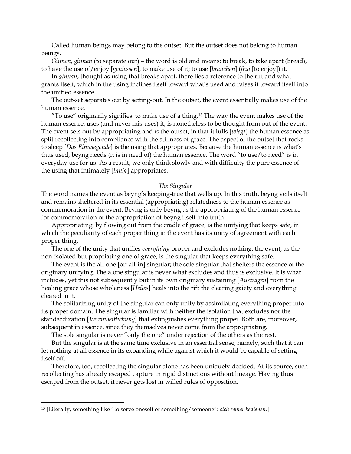Called human beings may belong to the outset. But the outset does not belong to human beings.

Ginnen, ginnan (to separate out) – the word is old and means: to break, to take apart (bread), to have the use of/enjoy [geniessen], to make use of it; to use [brauchen] (frui [to enjoy]) it.

In *ginnan*, thought as using that breaks apart, there lies a reference to the rift and what grants itself, which in the using inclines itself toward what's used and raises it toward itself into the unified essence.

The out-set separates out by setting-out. In the outset, the event essentially makes use of the human essence.

"To use" originarily signifies: to make use of a thing.<sup>13</sup> The way the event makes use of the human essence, uses (and never mis-uses) it, is nonetheless to be thought from out of the event. The event sets out by appropriating and is the outset, in that it lulls [wiegt] the human essence as split recollecting into compliance with the stillness of grace. The aspect of the outset that rocks to sleep [*Das Einwiegende*] is the using that appropriates. Because the human essence is what's thus used, beyng needs (it is in need of) the human essence. The word "to use/to need" is in everyday use for us. As a result, we only think slowly and with difficulty the pure essence of the using that intimately [innig] appropriates.

#### The Singular

The word names the event as beyng's keeping-true that wells up. In this truth, beyng veils itself and remains sheltered in its essential (appropriating) relatedness to the human essence as commemoration in the event. Beyng is only beyng as the appropriating of the human essence for commemoration of the appropriation of beyng itself into truth.

Appropriating, by flowing out from the cradle of grace, is the unifying that keeps safe, in which the peculiarity of each proper thing in the event has its unity of agreement with each proper thing.

The one of the unity that unifies everything proper and excludes nothing, the event, as the non-isolated but propriating one of grace, is the singular that keeps everything safe.

The event is the all-one [or: all-in] singular; the sole singular that shelters the essence of the originary unifying. The alone singular is never what excludes and thus is exclusive. It is what includes, yet this not subsequently but in its own originary sustaining [Austragen] from the healing grace whose wholeness [Heiles] heals into the rift the clearing gaiety and everything cleared in it.

The solitarizing unity of the singular can only unify by assimilating everything proper into its proper domain. The singular is familiar with neither the isolation that excludes nor the standardization [Vereinheitlichung] that extinguishes everything proper. Both are, moreover, subsequent in essence, since they themselves never come from the appropriating.

The sole singular is never "only the one" under rejection of the others as the rest.

But the singular is at the same time exclusive in an essential sense; namely, such that it can let nothing at all essence in its expanding while against which it would be capable of setting itself off.

Therefore, too, recollecting the singular alone has been uniquely decided. At its source, such recollecting has already escaped capture in rigid distinctions without lineage. Having thus escaped from the outset, it never gets lost in willed rules of opposition.

<sup>13</sup> [Literally, something like "to serve oneself of something/someone": sich seiner bedienen.]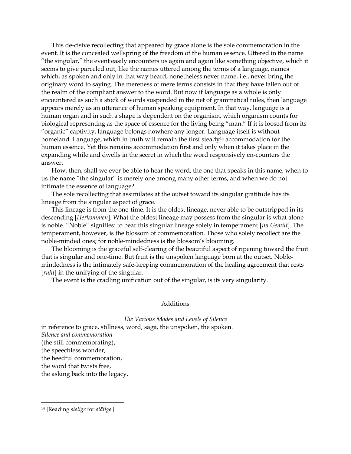This de-cisive recollecting that appeared by grace alone is the sole commemoration in the event. It is the concealed wellspring of the freedom of the human essence. Uttered in the name "the singular," the event easily encounters us again and again like something objective, which it seems to give parceled out, like the names uttered among the terms of a language, names which, as spoken and only in that way heard, nonetheless never name, i.e., never bring the originary word to saying. The mereness of mere terms consists in that they have fallen out of the realm of the compliant answer to the word. But now if language as a whole is only encountered as such a stock of words suspended in the net of grammatical rules, then language appears merely as an utterance of human speaking equipment. In that way, language is a human organ and in such a shape is dependent on the organism, which organism counts for biological representing as the space of essence for the living being "man." If it is loosed from its "organic" captivity, language belongs nowhere any longer. Language itself is without homeland. Language, which in truth will remain the first steady<sup>14</sup> accommodation for the human essence. Yet this remains accommodation first and only when it takes place in the expanding while and dwells in the secret in which the word responsively en-counters the answer.

How, then, shall we ever be able to hear the word, the one that speaks in this name, when to us the name "the singular" is merely one among many other terms, and when we do not intimate the essence of language?

The sole recollecting that assimilates at the outset toward its singular gratitude has its lineage from the singular aspect of grace.

This lineage is from the one-time. It is the oldest lineage, never able to be outstripped in its descending [Herkommen]. What the oldest lineage may possess from the singular is what alone is noble. "Noble" signifies: to bear this singular lineage solely in temperament [im Gemüt]. The temperament, however, is the blossom of commemoration. Those who solely recollect are the noble-minded ones; for noble-mindedness is the blossom's blooming.

The blooming is the graceful self-clearing of the beautiful aspect of ripening toward the fruit that is singular and one-time. But fruit is the unspoken language born at the outset. Noblemindedness is the intimately safe-keeping commemoration of the healing agreement that rests [*ruht*] in the unifying of the singular.

The event is the cradling unification out of the singular, is its very singularity.

#### Additions

#### The Various Modes and Levels of Silence

in reference to grace, stillness, word, saga, the unspoken, the spoken. Silence and commemoration (the still commemorating), the speechless wonder, the heedful commemoration, the word that twists free, the asking back into the legacy.

<sup>14</sup> [Reading stetige for stätige.]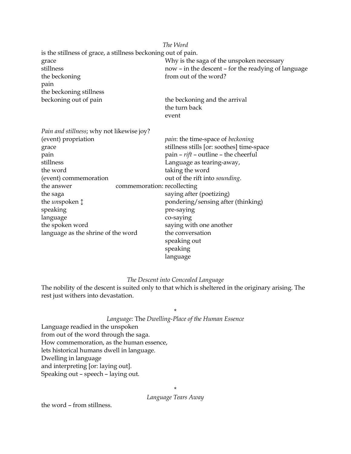|                                                               | The Word                                            |
|---------------------------------------------------------------|-----------------------------------------------------|
| is the stillness of grace, a stillness beckoning out of pain. |                                                     |
| grace                                                         | Why is the saga of the unspoken necessary           |
| stillness                                                     | now - in the descent - for the readying of language |
| the beckoning                                                 | from out of the word?                               |
| pain                                                          |                                                     |
| the beckoning stillness                                       |                                                     |
| beckoning out of pain                                         | the beckoning and the arrival                       |
|                                                               | the turn back                                       |
|                                                               | event                                               |
| Pain and stillness; why not likewise joy?                     |                                                     |
| (event) propriation                                           | <i>pain</i> : the time-space of <i>beckoning</i>    |
| grace                                                         | stillness stills [or: soothes] time-space           |
| pain                                                          | pain - rift - outline - the cheerful                |
| stillness                                                     | Language as tearing-away,                           |
| the word                                                      | taking the word                                     |
| (event) commemoration                                         | out of the rift into sounding.                      |
| the answer                                                    | commemoration: recollecting                         |
| the saga                                                      | saying after (poetizing)                            |
| the <i>unspoken</i> $\updownarrow$                            | pondering/sensing after (thinking)                  |
| speaking                                                      | pre-saying                                          |
| language                                                      | co-saying                                           |
| the spoken word                                               | saying with one another                             |
| language as the shrine of the word                            | the conversation                                    |
|                                                               | speaking out                                        |
|                                                               | speaking                                            |
|                                                               | language                                            |

### The Descent into Concealed Language

The nobility of the descent is suited only to that which is sheltered in the originary arising. The rest just withers into devastation.

# \*

# Language: The Dwelling-Place of the Human Essence

Language readied in the unspoken from out of the word through the saga. How commemoration, as the human essence, lets historical humans dwell in language. Dwelling in language and interpreting [or: laying out]. Speaking out – speech – laying out.

\*

Language Tears Away

the word – from stillness.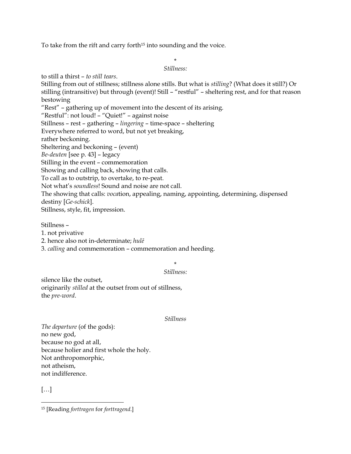To take from the rift and carry forth<sup>15</sup> into sounding and the voice.

### \*

### Stillness:

to still a thirst – to still tears. Stilling from out of stillness; stillness alone stills. But what is stilling? (What does it still?) Or stilling (intransitive) but through (event)! Still – "restful" – sheltering rest, and for that reason bestowing "Rest" – gathering up of movement into the descent of its arising. "Restful": not loud! – "Quiet!" – against noise Stillness – rest – gathering – lingering – time-space – sheltering Everywhere referred to word, but not yet breaking, rather beckoning. Sheltering and beckoning – (event) Be-deuten [see p. 43] – legacy Stilling in the event – commemoration Showing and calling back, showing that calls. To call as to outstrip, to overtake, to re-peat. Not what's soundless! Sound and noise are not call. The showing that calls: vocation, appealing, naming, appointing, determining, dispensed destiny [Ge-schick]. Stillness, style, fit, impression.

Stillness –

1. not privative

2. hence also not in-determinate; hulē

3. calling and commemoration – commemoration and heeding.

# \*

# Stillness:

silence like the outset, originarily stilled at the outset from out of stillness, the pre-word.

### Stillness

The departure (of the gods): no new god, because no god at all, because holier and first whole the holy. Not anthropomorphic, not atheism, not indifference.

[…]

15 [Reading forttragen for forttragend.]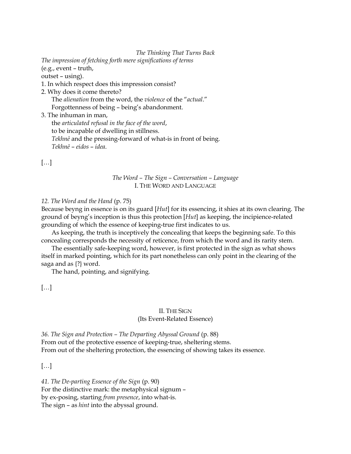#### The Thinking That Turns Back

The impression of fetching forth mere significations of terms

(e.g., event – truth,

outset – using).

- 1. In which respect does this impression consist?
- 2. Why does it come thereto? The alienation from the word, the violence of the "actual." Forgottenness of being – being's abandonment.

3. The inhuman in man,

the articulated refusal in the face of the word, to be incapable of dwelling in stillness. Tekhnē and the pressing-forward of what-is in front of being. Tekhnē – eidos – idea.

[…]

# The Word – The Sign – Conversation – Language I. THE WORD AND LANGUAGE

# 12. The Word and the Hand (p. 75)

Because beyng in essence is on its guard [Hut] for its essencing, it shies at its own clearing. The ground of beyng's inception is thus this protection [Hut] as keeping, the incipience-related grounding of which the essence of keeping-true first indicates to us.

As keeping, the truth is inceptively the concealing that keeps the beginning safe. To this concealing corresponds the necessity of reticence, from which the word and its rarity stem.

The essentially safe-keeping word, however, is first protected in the sign as what shows itself in marked pointing, which for its part nonetheless can only point in the clearing of the saga and as {?} word.

The hand, pointing, and signifying.

[…]

## II. THE SIGN (Its Event-Related Essence)

36. The Sign and Protection – The Departing Abyssal Ground (p. 88) From out of the protective essence of keeping-true, sheltering stems. From out of the sheltering protection, the essencing of showing takes its essence.

[…]

41. The De-parting Essence of the Sign (p. 90) For the distinctive mark: the metaphysical signum – by ex-posing, starting from presence, into what-is. The sign – as hint into the abyssal ground.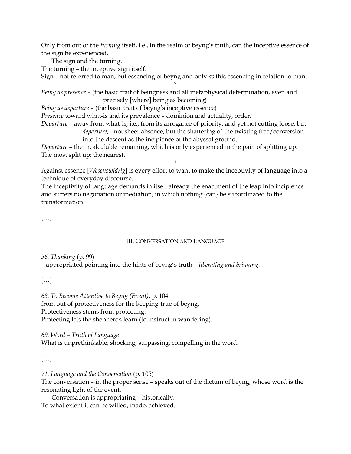Only from out of the turning itself, i.e., in the realm of beyng's truth, can the inceptive essence of the sign be experienced.

The sign and the turning.

The turning – the inceptive sign itself.

Sign – not referred to man, but essencing of beyng and only as this essencing in relation to man.

\* Being as presence – (the basic trait of beingness and all metaphysical determination, even and precisely [where] being as becoming)

Being as departure – (the basic trait of beyng's inceptive essence)

Presence toward what-is and its prevalence – dominion and actuality, order.

Departure – away from what-is, i.e., from its arrogance of priority, and yet not cutting loose, but departure; - not sheer absence, but the shattering of the twisting free/conversion into the descent as the incipience of the abyssal ground.

Departure – the incalculable remaining, which is only experienced in the pain of splitting up. The most split up: the nearest.

Against essence [Wesenswidrig] is every effort to want to make the inceptivity of language into a technique of everyday discourse.

\*

The inceptivity of language demands in itself already the enactment of the leap into incipience and suffers no negotiation or mediation, in which nothing {can} be subordinated to the transformation.

# […]

# III. CONVERSATION AND LANGUAGE

56. Thanking (p. 99) – appropriated pointing into the hints of beyng's truth – liberating and bringing.

[…]

68. To Become Attentive to Beyng (Event), p. 104 from out of protectiveness for the keeping-true of beyng. Protectiveness stems from protecting. Protecting lets the shepherds learn (to instruct in wandering).

69. Word – Truth of Language What is unprethinkable, shocking, surpassing, compelling in the word.

# […]

71. Language and the Conversation (p. 105)

The conversation – in the proper sense – speaks out of the dictum of beyng, whose word is the resonating light of the event.

Conversation is appropriating – historically. To what extent it can be willed, made, achieved.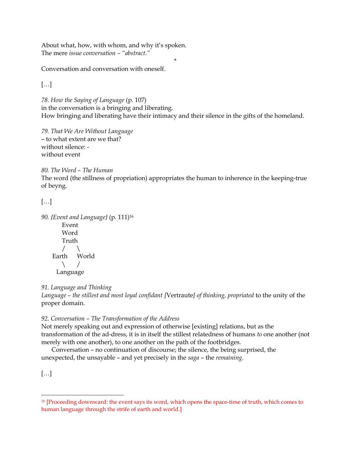About what, how, with whom, and why it's spoken. The mere issue conversation – "abstract."

Conversation and conversation with oneself.

 $[\dots]$ 

78. How the Saying of Language (p. 107) in the conversation is a bringing and liberating. How bringing and liberating have their intimacy and their silence in the gifts of the homeland.

\*

79. That We Are Without Language – to what extent are we that? without silence: without event

80. The Word – The Human

The word (the stillness of propriation) appropriates the human to inherence in the keeping-true of beyng.

[…]

```
90. {Event and Language} (p. 111)<sup>16</sup>
    Event 
    Word 
    Truth 
   / \ 
Earth World 
   \setminus /
  Language
```
91. Language and Thinking

Language – the stillest and most loyal confidant [Vertraute] of thinking, propriated to the unity of the proper domain.

92. Conversation – The Transformation of the Address

Not merely speaking out and expression of otherwise [existing] relations, but as the transformation of the ad-dress, it is in itself the stillest relatedness of humans to one another (not merely with one another), to one another on the path of the footbridges.

Conversation – no continuation of discourse; the silence, the being surprised, the unexpected, the unsayable – and yet precisely in the saga – the remaining.

 $[\dots]$ 

<sup>&</sup>lt;sup>16</sup> [Proceeding downward: the event says its word, which opens the space-time of truth, which comes to human language through the strife of earth and world.]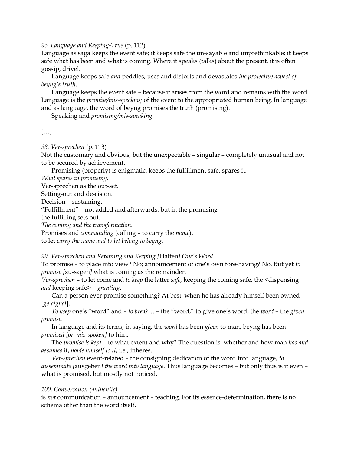96. Language and Keeping-True (p. 112)

Language as saga keeps the event safe; it keeps safe the un-sayable and unprethinkable; it keeps safe what has been and what is coming. Where it speaks (talks) about the present, it is often gossip, drivel.

Language keeps safe *and* peddles, uses and distorts and devastates the protective aspect of beyng's truth.

Language keeps the event safe – because it arises from the word and remains with the word. Language is the *promise/mis-speaking* of the event to the appropriated human being. In language and as language, the word of beyng promises the truth (promising).

Speaking and promising/mis-speaking.

# […]

98. Ver-sprechen (p. 113)

Not the customary and obvious, but the unexpectable – singular – completely unusual and not to be secured by achievement.

Promising (properly) is enigmatic, keeps the fulfillment safe, spares it.

What spares in promising.

Ver-sprechen as the out-set.

Setting-out and de-cision.

Decision – sustaining.

"Fulfillment" – not added and afterwards, but in the promising

the fulfilling sets out.

The coming and the transformation.

Promises and commanding (calling – to carry the name),

to let carry the name and to let belong to beyng.

99. Ver-sprechen and Retaining and Keeping [Halten] One's Word

To promise – to place into view? No; announcement of one's own fore-having? No. But yet to promise [zu-sagen] what is coming as the remainder.

Ver-sprechen – to let come and to keep the latter safe, keeping the coming safe, the <dispensing and keeping safe> – granting.

Can a person ever promise something? At best, when he has already himself been owned [ge-eignet].

To keep one's "word" and – to break… – the "word," to give one's word, the word – the given promise.

In language and its terms, in saying, the *word* has been *given* to man, beyng has been promised [or: mis-spoken] to him.

The *promise is kept* – to what extent and why? The question is, whether and how man has and assumes it, holds himself to it, i.e., inheres.

Ver-sprechen event-related – the consigning dedication of the word into language, to disseminate [ausgeben] the word into language. Thus language becomes - but only thus is it even what is promised, but mostly not noticed.

# 100. Conversation (authentic)

is not communication – announcement – teaching. For its essence-determination, there is no schema other than the word itself.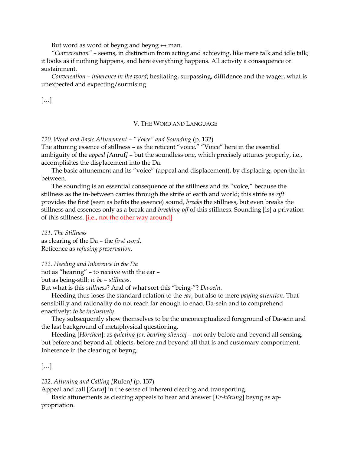But word as word of beyng and beyng  $\leftrightarrow$  man.

"Conversation" – seems, in distinction from acting and achieving, like mere talk and idle talk; it looks as if nothing happens, and here everything happens. All activity a consequence or sustainment.

Conversation – inherence in the word; hesitating, surpassing, diffidence and the wager, what is unexpected and expecting/surmising.

[…]

# V. THE WORD AND LANGUAGE

120. Word and Basic Attunement – "Voice" and Sounding (p. 132)

The attuning essence of stillness – as the reticent "voice." "Voice" here in the essential ambiguity of the appeal [Anruf] – but the soundless one, which precisely attunes properly, i.e., accomplishes the displacement into the Da.

The basic attunement and its "voice" (appeal and displacement), by displacing, open the inbetween.

The sounding is an essential consequence of the stillness and its "voice," because the stillness as the in-between carries through the strife of earth and world; this strife as rift provides the first (seen as befits the essence) sound, breaks the stillness, but even breaks the stillness and essences only as a break and breaking-off of this stillness. Sounding [is] a privation of this stillness. [i.e., not the other way around]

121. The Stillness as clearing of the Da – the first word. Reticence as refusing preservation.

122. Heeding and Inherence in the Da not as "hearing" – to receive with the ear – but as being-still: to be – stillness.

But what is this stillness? And of what sort this "being-"? Da-sein.

Heeding thus loses the standard relation to the *ear*, but also to mere *paying attention*. That sensibility and rationality do not reach far enough to enact Da-sein and to comprehend enactively: to be inclusively.

They subsequently show themselves to be the unconceptualized foreground of Da-sein and the last background of metaphysical questioning.

Heeding [Horchen]: as quieting [or: bearing silence] – not only before and beyond all sensing, but before and beyond all objects, before and beyond all that is and customary comportment. Inherence in the clearing of beyng.

# […]

# 132. Attuning and Calling [Rufen] (p. 137)

Appeal and call [Zuruf] in the sense of inherent clearing and transporting.

Basic attunements as clearing appeals to hear and answer [Er-hörung] beyng as appropriation.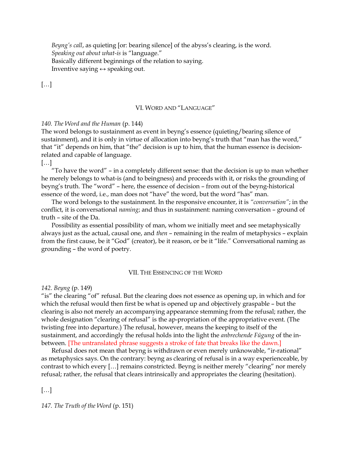Beyng's call, as quieting [or: bearing silence] of the abyss's clearing, is the word. Speaking out about what-is is "language." Basically different beginnings of the relation to saying. Inventive saying  $\leftrightarrow$  speaking out.

 $[\dots]$ 

#### VI. WORD AND "LANGUAGE"

#### 140. The Word and the Human (p. 144)

The word belongs to sustainment as event in beyng's essence (quieting/bearing silence of sustainment), and it is only in virtue of allocation into beyng's truth that "man has the word," that "it" depends on him, that "the" decision is up to him, that the human essence is decisionrelated and capable of language.

[…]

"To have the word" – in a completely different sense: that the decision is up to man whether he merely belongs to what-is (and to beingness) and proceeds with it, or risks the grounding of beyng's truth. The "word" – here, the essence of decision – from out of the beyng-historical essence of the word, i.e., man does not "have" the word, but the word "has" man.

The word belongs to the sustainment. In the responsive encounter, it is "conversation"; in the conflict, it is conversational naming; and thus in sustainment: naming conversation – ground of truth – site of the Da.

Possibility as essential possibility of man, whom we initially meet and see metaphysically always just as the actual, causal one, and then – remaining in the realm of metaphysics – explain from the first cause, be it "God" (creator), be it reason, or be it "life." Conversational naming as grounding – the word of poetry.

#### VII. THE ESSENCING OF THE WORD

#### 142. Beyng (p. 149)

"is" the clearing "of" refusal. But the clearing does not essence as opening up, in which and for which the refusal would then first be what is opened up and objectively graspable – but the clearing is also not merely an accompanying appearance stemming from the refusal; rather, the whole designation "clearing of refusal" is the ap-propriation of the appropriative event. (The twisting free into departure.) The refusal, however, means the keeping to itself of the sustainment, and accordingly the refusal holds into the light the anbrechende Fügung of the inbetween. [The untranslated phrase suggests a stroke of fate that breaks like the dawn.]

Refusal does not mean that beyng is withdrawn or even merely unknowable, "ir-rational" as metaphysics says. On the contrary: beyng as clearing of refusal is in a way experienceable, by contrast to which every […] remains constricted. Beyng is neither merely "clearing" nor merely refusal; rather, the refusal that clears intrinsically and appropriates the clearing (hesitation).

[…]

147. The Truth of the Word (p. 151)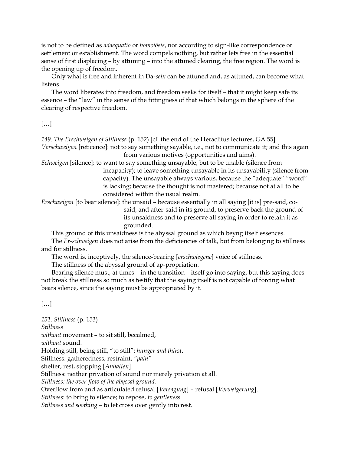is not to be defined as *adaequatio* or *homoiōsis*, nor according to sign-like correspondence or settlement or establishment. The word compels nothing, but rather lets free in the essential sense of first displacing – by attuning – into the attuned clearing, the free region. The word is the opening up of freedom.

Only what is free and inherent in Da-sein can be attuned and, as attuned, can become what listens.

The word liberates into freedom, and freedom seeks for itself – that it might keep safe its essence – the "law" in the sense of the fittingness of that which belongs in the sphere of the clearing of respective freedom.

# […]

149. The Erschweigen of Stillness (p. 152) [cf. the end of the Heraclitus lectures, GA 55] Verschweigen [reticence]: not to say something sayable, i.e., not to communicate it; and this again from various motives (opportunities and aims).

Schweigen [silence]: to want to say something unsayable, but to be unable (silence from incapacity); to leave something unsayable in its unsayability (silence from capacity). The unsayable always various, because the "adequate" "word" is lacking; because the thought is not mastered; because not at all to be considered within the usual realm.

Erschweigen [to bear silence]: the unsaid – because essentially in all saying [it is] pre-said, cosaid, and after-said in its ground, to preserve back the ground of its unsaidness and to preserve all saying in order to retain it as grounded.

This ground of this unsaidness is the abyssal ground as which beyng itself essences.

The Er-schweigen does not arise from the deficiencies of talk, but from belonging to stillness and for stillness.

The word is, inceptively, the silence-bearing [erschwiegene] voice of stillness.

The stillness of the abyssal ground of ap-propriation.

Bearing silence must, at times – in the transition – itself go into saying, but this saying does not break the stillness so much as testify that the saying itself is not capable of forcing what bears silence, since the saying must be appropriated by it.

# […]

151. Stillness (p. 153) Stillness without movement – to sit still, becalmed, without sound. Holding still, being still, "to still": hunger and thirst. Stillness: gatheredness, restraint, "pain" shelter, rest, stopping [Anhalten]. Stillness: neither privation of sound nor merely privation at all. Stillness: the over-flow of the abyssal ground. Overflow from and as articulated refusal [Versagung] – refusal [Verweigerung]. Stillness: to bring to silence; to repose, to gentleness. Stillness and soothing – to let cross over gently into rest.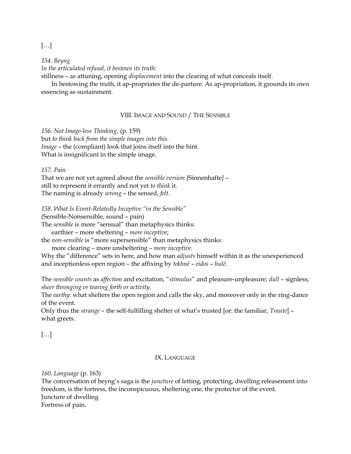[…]

154. Beyng In the articulated refusal, it bestows its truth:

stillness – as attuning, opening displacement into the clearing of what conceals itself.

In bestowing the truth, it ap-propriates the de-parture. As ap-propriation, it grounds its own essencing as sustainment.

# VIII. IMAGE AND SOUND / THE SENSIBLE

156. Not Image-less Thinking, (p. 159) but to think back from the simple images into this. Image – the (compliant) look that joins itself into the hint. What is insignificant in the simple image.

157. Pain

That we are not yet agreed about the sensible version [Sinnenhafte] – still to represent it errantly and not yet to think it. The naming is already wrong – the sensed, felt.

158. What Is Event-Relatedly Inceptive "in the Sensible"

(Sensible-Nonsensible, sound – pain)

The sensible is more "sensual" than metaphysics thinks:

earthier – more sheltering – more inceptive;

the non-sensible is "more supersensible" than metaphysics thinks:

more clearing – more unsheltering – more inceptive.

Why the "difference" sets in here, and how man *adjusts* himself within it as the unexperienced and inceptionless open region – the affixing by tekhnē – eidos – hulē.

The sensible counts as affection and excitation, "stimulus" and pleasure-unpleasure; dull - signless; sheer thronging or tearing forth or activity.

The earthy: what shelters the open region and calls the sky, and moreover only in the ring-dance of the event.

Only thus the strange – the self-fulfilling shelter of what's trusted [or: the familiar, Traute] – what greets.

[…]

# IX. LANGUAGE

160. Language (p. 163)

The conversation of beyng's saga is the *juncture* of letting, protecting, dwelling releasement into freedom, is the fortress, the inconspicuous, sheltering one, the protector of the event. Juncture of dwelling Fortress of pain.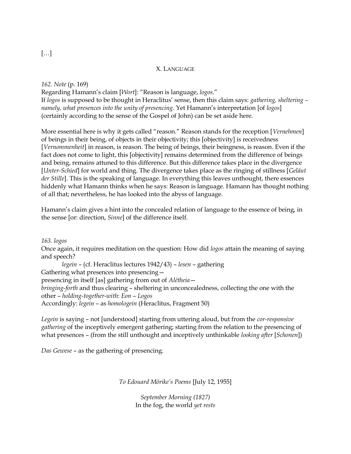## X. LANGUAGE

162. Note (p. 169)

Regarding Hamann's claim [Wort]: "Reason is language, logos." If logos is supposed to be thought in Heraclitus' sense, then this claim says: gathering, sheltering – namely, what presences into the unity of presencing. Yet Hamann's interpretation [of logos] (certainly according to the sense of the Gospel of John) can be set aside here.

More essential here is why it gets called "reason." Reason stands for the reception [Vernehmen] of beings in their being, of objects in their objectivity; this [objectivity] is receivedness [Vernommenheit] in reason, is reason. The being of beings, their beingness, is reason. Even if the fact does not come to light, this [objectivity] remains determined from the difference of beings and being, remains attuned to this difference. But this difference takes place in the divergence [*Unter-Schied*] for world and thing. The divergence takes place as the ringing of stillness [*Geläut*] der Stille]. This is the speaking of language. In everything this leaves unthought, there essences hiddenly what Hamann thinks when he says: Reason is language. Hamann has thought nothing of all that; nevertheless, he has looked into the abyss of language.

Hamann's claim gives a hint into the concealed relation of language to the essence of being, in the sense [or: direction, Sinne] of the difference itself.

163. logos

Once again, it requires meditation on the question: How did logos attain the meaning of saying and speech?

legein – (cf. Heraclitus lectures 1942/43) – lesen – gathering Gathering what presences into presencing presencing in itself [as] gathering from out of Alētheia bringing-forth and thus clearing – sheltering in unconcealedness, collecting the one with the other – holding-together-with: Eon – Logos Accordingly: legein – as homologein (Heraclitus, Fragment 50)

Legein is saying – not [understood] starting from uttering aloud, but from the cor-responsive gathering of the inceptively emergent gathering; starting from the relation to the presencing of what presences – (from the still unthought and inceptively unthinkable *looking after* [Schonen])

Das Gewese – as the gathering of presencing.

To Edouard Mörike's Poems [July 12, 1955]

September Morning (1827) In the fog, the world yet rests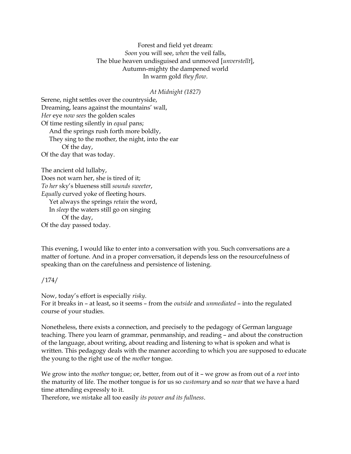Forest and field yet dream: Soon you will see, when the veil falls, The blue heaven undisguised and unmoved [unverstellt], Autumn-mighty the dampened world In warm gold they flow.

## At Midnight (1827)

Serene, night settles over the countryside, Dreaming, leans against the mountains' wall, Her eye now sees the golden scales Of time resting silently in equal pans; And the springs rush forth more boldly, They sing to the mother, the night, into the ear Of the day, Of the day that was today.

The ancient old lullaby, Does not warn her, she is tired of it; To her sky's blueness still sounds sweeter, Equally curved yoke of fleeting hours. Yet always the springs retain the word, In sleep the waters still go on singing Of the day, Of the day passed today.

This evening, I would like to enter into a conversation with you. Such conversations are a matter of fortune. And in a proper conversation, it depends less on the resourcefulness of speaking than on the carefulness and persistence of listening.

/174/

Now, today's effort is especially risky. For it breaks in – at least, so it seems – from the outside and unmediated – into the regulated course of your studies.

Nonetheless, there exists a connection, and precisely to the pedagogy of German language teaching. There you learn of grammar, penmanship, and reading – and about the construction of the language, about writing, about reading and listening to what is spoken and what is written. This pedagogy deals with the manner according to which you are supposed to educate the young to the right use of the mother tongue.

We grow into the *mother* tongue; or, better, from out of it – we grow as from out of a *root* into the maturity of life. The mother tongue is for us so customary and so near that we have a hard time attending expressly to it.

Therefore, we mistake all too easily its power and its fullness.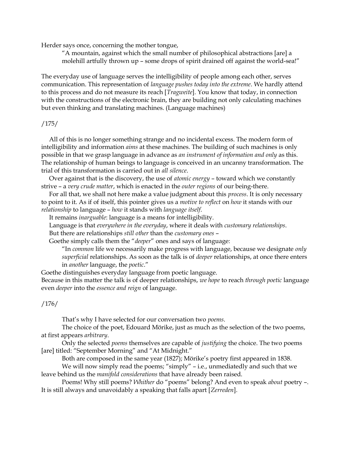Herder says once, concerning the mother tongue,

"A mountain, against which the small number of philosophical abstractions [are] a molehill artfully thrown up – some drops of spirit drained off against the world-sea!"

The everyday use of language serves the intelligibility of people among each other, serves communication. This representation of language pushes today into the extreme. We hardly attend to this process and do not measure its reach [Tragweite]. You know that today, in connection with the constructions of the electronic brain, they are building not only calculating machines but even thinking and translating machines. (Language machines)

### /175/

 All of this is no longer something strange and no incidental excess. The modern form of intelligibility and information *aims* at these machines. The building of such machines is only possible in that we grasp language in advance as an instrument of information and only as this. The relationship of human beings to language is conceived in an uncanny transformation. The trial of this transformation is carried out in all silence.

 Over against that is the discovery, the use of atomic energy – toward which we constantly strive - a very crude matter, which is enacted in the outer regions of our being-there.

For all that, we shall not here make a value judgment about this *process*. It is only necessary to point to it. As if of itself, this pointer gives us a *motive to reflect* on *how* it stands with our relationship to language – how it stands with language itself.

It remains inarguable: language is a means for intelligibility.

Language is that everywhere in the everyday, where it deals with customary relationships.

But there are relationships still other than the customary ones –

Goethe simply calls them the "deeper" ones and says of language:

"In common life we necessarily make progress with language, because we designate only superficial relationships. As soon as the talk is of *deeper* relationships, at once there enters in *another* language, the *poetic.*"

Goethe distinguishes everyday language from poetic language.

Because in this matter the talk is of deeper relationships, we hope to reach through poetic language even deeper into the essence and reign of language.

### /176/

That's why I have selected for our conversation two poems.

The choice of the poet, Edouard Mörike, just as much as the selection of the two poems, at first appears arbitrary.

Only the selected *poems* themselves are capable of *justifying* the choice. The two poems [are] titled: "September Morning" and "At Midnight."

Both are composed in the same year (1827); Mörike's poetry first appeared in 1838.

We will now simply read the poems; "simply" – i.e., unmediatedly and such that we leave behind us the manifold considerations that have already been raised.

Poems! Why still poems? Whither do "poems" belong? And even to speak about poetry -. It is still always and unavoidably a speaking that falls apart [Zerreden].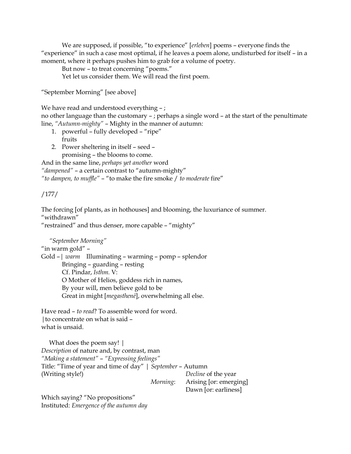We are supposed, if possible, "to experience" [erleben] poems - everyone finds the "experience" in such a case most optimal, if he leaves a poem alone, undisturbed for itself – in a moment, where it perhaps pushes him to grab for a volume of poetry.

But now – to treat concerning "poems."

Yet let us consider them. We will read the first poem.

"September Morning" [see above]

We have read and understood everything -;

no other language than the customary – ; perhaps a single word – at the start of the penultimate line, "Autumn-mighty" – Mighty in the manner of autumn:

- 1. powerful fully developed "ripe" fruits
- 2. Power sheltering in itself seed promising – the blooms to come.

And in the same line, perhaps yet another word "dampened" – a certain contrast to "autumn-mighty" "to dampen, to muffle"  $-$  "to make the fire smoke  $/$  to moderate fire"

# /177/

The forcing [of plants, as in hothouses] and blooming, the luxuriance of summer. "withdrawn"

"restrained" and thus denser, more capable – "mighty"

 "September Morning" "in warm gold" – Gold –| warm Illuminating – warming – pomp – splendor Bringing – guarding – resting Cf. Pindar, Isthm. V: O Mother of Helios, goddess rich in names, By your will, men believe gold to be Great in might [megasthenē], overwhelming all else.

Have read – to read? To assemble word for word. |to concentrate on what is said – what is unsaid.

 What does the poem say! | Description of nature and, by contrast, man "Making a statement" – "Expressing feelings" Title: "Time of year and time of day" | September – Autumn (Writing style!) Decline of the year Morning: Arising [or: emerging]

Dawn [or: earliness]

Which saying? "No propositions" Instituted: Emergence of the autumn day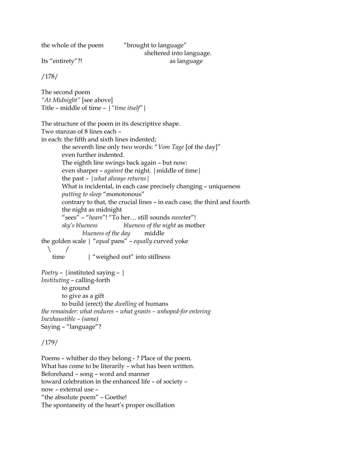the whole of the poem "brought to language"

 sheltered into language. Its "entirety"?! as language

/178/

The second poem "At Midnight" [see above] Title – middle of time – |"time itself"|

The structure of the poem in its descriptive shape. Two stanzas of 8 lines each – in each: the fifth and sixth lines indented; the seventh line only two words: "Vom Tage [of the day]" even further indented. The eighth line swings back again – but now: even sharper – *against* the night. | middle of time | the past  $-$  | what always returns | What is incidental, in each case precisely changing – uniqueness putting to sleep "monotonous" contrary to that, the crucial lines – in each case, the third and fourth the night as midnight "sees" – "hears"! "To her… still sounds sweeter"! sky's blueness blueness of the night as mother blueness of the day middle the golden scale | "equal pans" – equally curved yoke  $\setminus$ time | "weighed out" into stillness *Poetry* –  $|$  instituted saying –  $|$ Instituting – calling-forth

 to ground to give as a gift to build (erect) the dwelling of humans the remainder: what endures – what grants – unhoped-for entering Inexhaustible – (same) Saying – "language"?

/179/

Poems – whither do they belong - ? Place of the poem. What has come to be literarily – what has been written. Beforehand – song – word and manner toward celebration in the enhanced life – of society – now – external use – "the absolute poem" – Goethe! The spontaneity of the heart's proper oscillation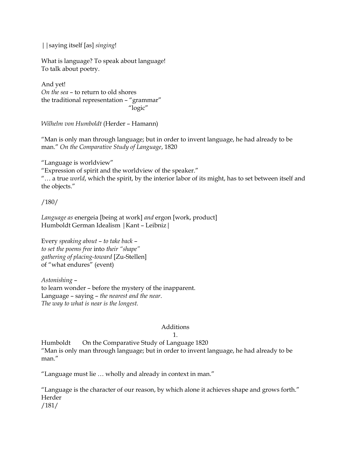| | saying itself [as] singing!

What is language? To speak about language! To talk about poetry.

And yet! On the sea – to return to old shores the traditional representation – "grammar" "logic"

Wilhelm von Humboldt (Herder – Hamann)

"Man is only man through language; but in order to invent language, he had already to be man." On the Comparative Study of Language, 1820

"Language is worldview"

"Expression of spirit and the worldview of the speaker."

"... a true world, which the spirit, by the interior labor of its might, has to set between itself and the objects."

/180/

Language as energeia [being at work] and ergon [work, product] Humboldt German Idealism |Kant – Leibniz|

Every speaking about – to take back – to set the poems free into their "shape" gathering of placing-toward [Zu-Stellen] of "what endures" (event)

Astonishing – to learn wonder – before the mystery of the inapparent. Language – saying – the nearest and the near. The way to what is near is the longest.

# Additions

1.

Humboldt On the Comparative Study of Language 1820 "Man is only man through language; but in order to invent language, he had already to be man."

"Language must lie … wholly and already in context in man."

"Language is the character of our reason, by which alone it achieves shape and grows forth." Herder /181/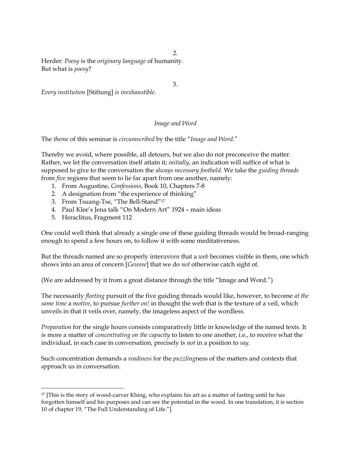$\mathcal{L}$ 

Herder: Poesy is the originary language of humanity. But what is poesy?

3.

Every institution [Stiftung] is inexhaustible.

# Image and Word

The theme of this seminar is circumscribed by the title "Image and Word."

Thereby we avoid, where possible, all detours, but we also do not preconceive the matter. Rather, we let the conversation itself attain it; initially, an indication will suffice of what is supposed to give to the conversation the always necessary foothold. We take the guiding threads from five regions that seem to lie far apart from one another, namely:

- 1. From Augustine, Confessions, Book 10, Chapters 7-8
- 2. A designation from "the experience of thinking"
- 3. From Tsuang-Tse, "The Bell-Stand"<sup>17</sup>
- 4. Paul Klee's Jena talk "On Modern Art" 1924 main ideas
- 5. Heraclitus, Fragment 112

One could well think that already a single one of these guiding threads would be broad-ranging enough to spend a few hours on, to follow it with some meditativeness.

But the threads named are so properly interwoven that a web becomes visible in them, one which shows into an area of concern [Gewese] that we do not otherwise catch sight of.

(We are addressed by it from a great distance through the title "Image and Word.")

The necessarily *fleeting* pursuit of the five guiding threads would like, however, to become at the same time a motive, to pursue further on! in thought the web that is the texture of a veil, which unveils in that it veils over, namely, the imageless aspect of the wordless.

Preparation for the single hours consists comparatively little in knowledge of the named texts. It is more a matter of *concentrating on the capacity* to listen to one another, i.e., to receive what the individual, in each case in conversation, precisely is not in a position to say.

Such concentration demands a *readiness* for the *puzzlingness* of the matters and contexts that approach us in conversation.

<sup>&</sup>lt;sup>17</sup> [This is the story of wood-carver Khing, who explains his art as a matter of fasting until he has forgotten himself and his purposes and can see the potential in the wood. In one translation, it is section 10 of chapter 19, "The Full Understanding of Life."]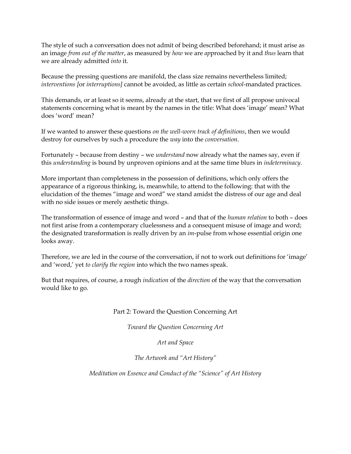The style of such a conversation does not admit of being described beforehand; it must arise as an image from out of the matter, as measured by how we are approached by it and thus learn that we are already admitted into it.

Because the pressing questions are manifold, the class size remains nevertheless limited; interventions [or interruptions] cannot be avoided, as little as certain school-mandated practices.

This demands, or at least so it seems, already at the start, that we first of all propose univocal statements concerning what is meant by the names in the title: What does 'image' mean? What does 'word' mean?

If we wanted to answer these questions on the well-worn track of definitions, then we would destroy for ourselves by such a procedure the way into the conversation.

Fortunately – because from destiny – we understand now already what the names say, even if this understanding is bound by unproven opinions and at the same time blurs in indeterminacy.

More important than completeness in the possession of definitions, which only offers the appearance of a rigorous thinking, is, meanwhile, to attend to the following: that with the elucidation of the themes "image and word" we stand amidst the distress of our age and deal with no side issues or merely aesthetic things.

The transformation of essence of image and word – and that of the human relation to both – does not first arise from a contemporary cluelessness and a consequent misuse of image and word; the designated transformation is really driven by an *im*-pulse from whose essential origin one looks away.

Therefore, we are led in the course of the conversation, if not to work out definitions for 'image' and 'word,' yet to clarify the region into which the two names speak.

But that requires, of course, a rough indication of the direction of the way that the conversation would like to go.

Part 2: Toward the Question Concerning Art

Toward the Question Concerning Art

Art and Space

The Artwork and "Art History"

Meditation on Essence and Conduct of the "Science" of Art History